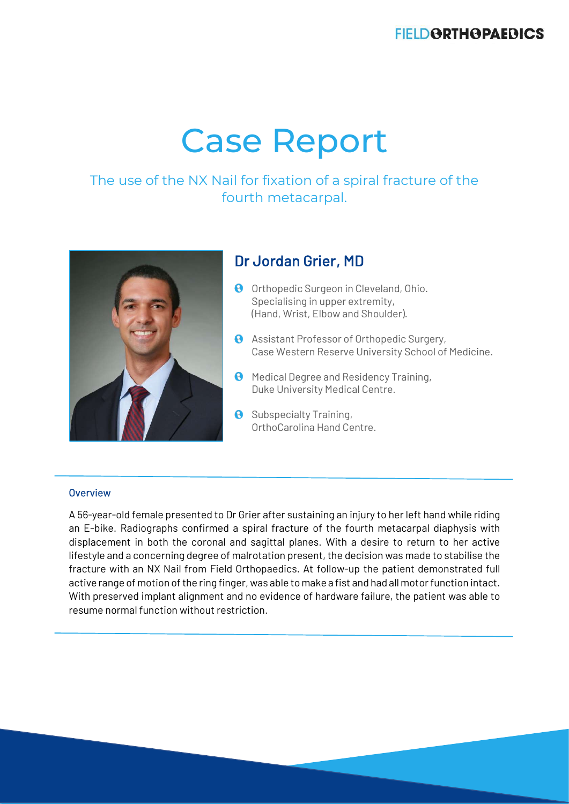# **FIELDORTHOPAEDICS**

# Case Report

# The use of the NX Nail for fixation of a spiral fracture of the fourth metacarpal.



# Dr Jordan Grier, MD

- **O** Orthopedic Surgeon in Cleveland, Ohio. Specialising in upper extremity, (Hand, Wrist, Elbow and Shoulder).
- **A** Assistant Professor of Orthopedic Surgery, Case Western Reserve University School of Medicine.
- **A** Medical Degree and Residency Training, Duke University Medical Centre.
- **8** Subspecialty Training, OrthoCarolina Hand Centre.

#### **Overview**

A 56-year-old female presented to Dr Grier after sustaining an injury to her left hand while riding an E-bike. Radiographs confirmed a spiral fracture of the fourth metacarpal diaphysis with displacement in both the coronal and sagittal planes. With a desire to return to her active lifestyle and a concerning degree of malrotation present, the decision was made to stabilise the fracture with an NX Nail from Field Orthopaedics. At follow-up the patient demonstrated full active range of motion of the ring finger, was able to make a fist and had all motor function intact. With preserved implant alignment and no evidence of hardware failure, the patient was able to resume normal function without restriction.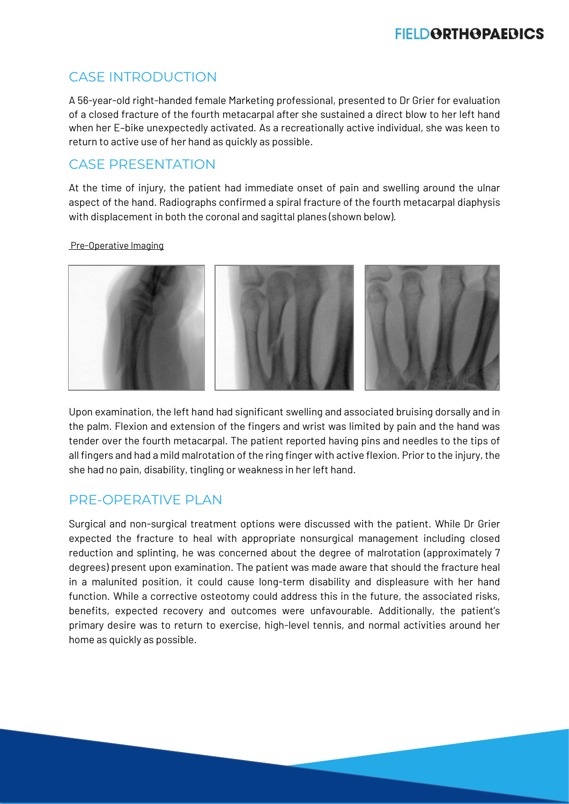# CASE INTRODUCTION

A 56-year-old right-handed female Marketing professional, presented to Dr Grier for evaluation of a closed fracture of the fourth metacarpal after she sustained a direct blow to her left hand when her E–bike unexpectedly activated. As a recreationally active individual, she was keen to return to active use of her hand as quickly as possible.

# CASE PRESENTATION

At the time of injury, the patient had immediate onset of pain and swelling around the ulnar aspect of the hand. Radiographs confirmed a spiral fracture of the fourth metacarpal diaphysis with displacement in both the coronal and sagittal planes (shown below).

## Pre-Operative Imaging



Upon examination, the left hand had significant swelling and associated bruising dorsally and in the palm. Flexion and extension of the fingers and wrist was limited by pain and the hand was tender over the fourth metacarpal. The patient reported having pins and needles to the tips of all fingers and had a mild malrotation of the ring finger with active flexion. Prior to the injury, the she had no pain, disability, tingling or weakness in her left hand.

# PRF-OPERATIVE PLAN

Surgical and non-surgical treatment options were discussed with the patient. While Dr Grier expected the fracture to heal with appropriate nonsurgical management including closed reduction and splinting, he was concerned about the degree of malrotation (approximately 7 degrees) present upon examination. The patient was made aware that should the fracture heal in a malunited position, it could cause long-term disability and displeasure with her hand function. While a corrective osteotomy could address this in the future, the associated risks, benefits, expected recovery and outcomes were unfavourable. Additionally, the patient's primary desire was to return to exercise, high-level tennis, and normal activities around her home as quickly as possible.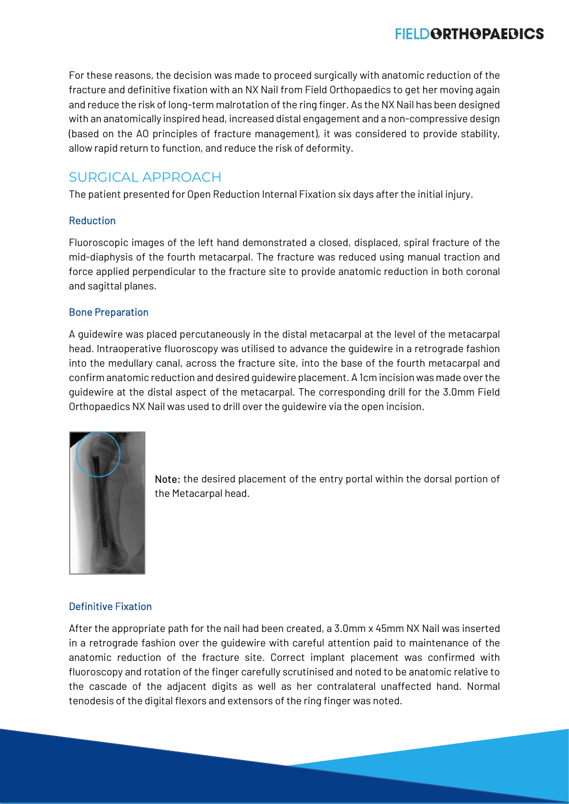For these reasons, the decision was made to proceed surgically with anatomic reduction of the fracture and definitive fixation with an NX Nail from Field Orthopaedics to get her moving again and reduce the risk of long-term malrotation of the ring finger. As the NX Nail has been designed with an anatomically inspired head, increased distal engagement and a non-compressive design (based on the AO principles of fracture management), it was considered to provide stability, allow rapid return to function, and reduce the risk of deformity.

# SURGICAL APPROACH

The patient presented for Open Reduction Internal Fixation six days after the initial injury.

## Reduction

Fluoroscopic images of the left hand demonstrated a closed, displaced, spiral fracture of the mid-diaphysis of the fourth metacarpal. The fracture was reduced using manual traction and force applied perpendicular to the fracture site to provide anatomic reduction in both coronal and sagittal planes.

## Bone Preparation

A guidewire was placed percutaneously in the distal metacarpal at the level of the metacarpal head. Intraoperative fluoroscopy was utilised to advance the guidewire in a retrograde fashion into the medullary canal, across the fracture site, into the base of the fourth metacarpal and confirm anatomic reduction and desired guidewire placement. A 1cm incision was made over the guidewire at the distal aspect of the metacarpal. The corresponding drill for the 3.0mm Field Orthopaedics NX Nail was used to drill over the guidewire via the open incision.



Note: the desired placement of the entry portal within the dorsal portion of the Metacarpal head.

## Definitive Fixation

After the appropriate path for the nail had been created, a 3.0mm x 45mm NX Nail was inserted in a retrograde fashion over the guidewire with careful attention paid to maintenance of the anatomic reduction of the fracture site. Correct implant placement was confirmed with fluoroscopy and rotation of the finger carefully scrutinised and noted to be anatomic relative to the cascade of the adjacent digits as well as her contralateral unaffected hand. Normal tenodesis of the digital flexors and extensors of the ring finger was noted.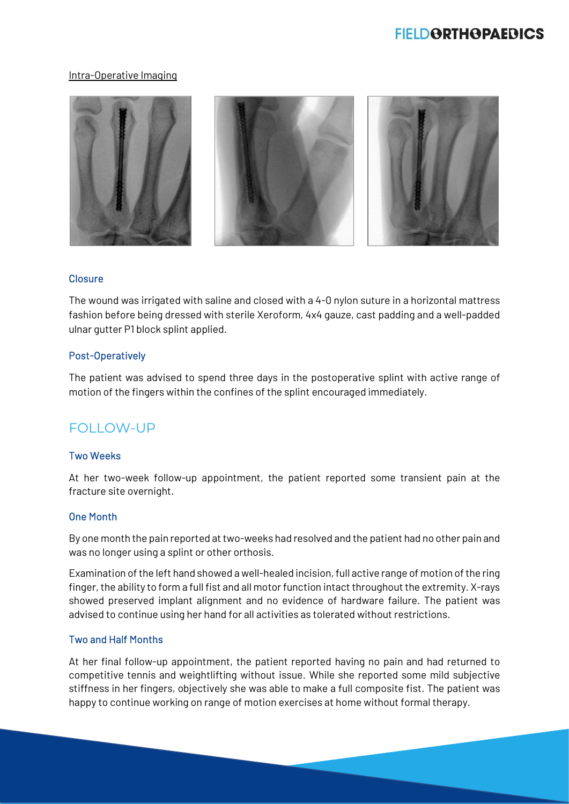#### Intra-Operative Imaging



#### **Closure**

The wound was irrigated with saline and closed with a 4-0 nylon suture in a horizontal mattress fashion before being dressed with sterile Xeroform, 4x4 gauze, cast padding and a well-padded ulnar gutter P1 block splint applied.

#### Post-Operatively

The patient was advised to spend three days in the postoperative splint with active range of motion of the fingers within the confines of the splint encouraged immediately.

## FOLLOW-UP

### Two Weeks

At her two-week follow-up appointment, the patient reported some transient pain at the fracture site overnight.

### One Month

By one month the pain reported at two-weeks had resolved and the patient had no other pain and was no longer using a splint or other orthosis.

Examination of the left hand showed a well-healed incision, full active range of motion of the ring finger, the ability to form a full fist and all motor function intact throughout the extremity. X-rays showed preserved implant alignment and no evidence of hardware failure. The patient was advised to continue using her hand for all activities as tolerated without restrictions.

## Two and Half Months

At her final follow-up appointment, the patient reported having no pain and had returned to competitive tennis and weightlifting without issue. While she reported some mild subjective stiffness in her fingers, objectively she was able to make a full composite fist. The patient was happy to continue working on range of motion exercises at home without formal therapy.